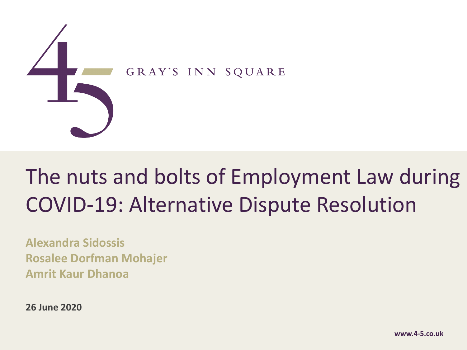

## The nuts and bolts of Employment Law during COVID-19: Alternative Dispute Resolution

**Alexandra Sidossis Rosalee Dorfman Mohajer Amrit Kaur Dhanoa**

**26 June 2020**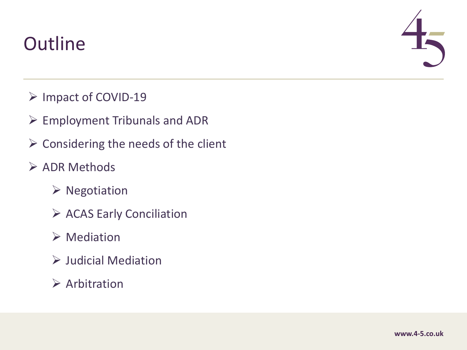### **Outline**



- Ø Impact of COVID-19
- $\triangleright$  Employment Tribunals and ADR
- $\triangleright$  Considering the needs of the client
- $\triangleright$  ADR Methods
	- $\triangleright$  Negotiation
	- $\triangleright$  ACAS Early Conciliation
	- $\triangleright$  Mediation
	- $\triangleright$  Judicial Mediation
	- $\triangleright$  Arbitration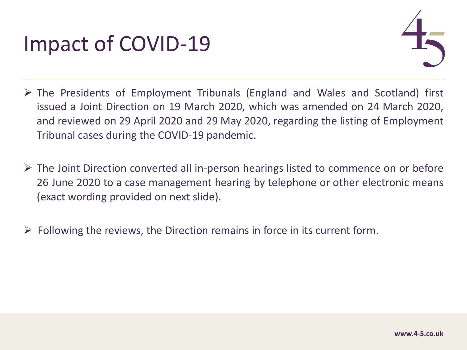

- $\triangleright$  The Presidents of Employment Tribunals (England and Wales and Scotland) first issued a Joint Direction on 19 March 2020, which was amended on 24 March 2020, and reviewed on 29 April 2020 and 29 May 2020, regarding the listing of Employment Tribunal cases during the COVID-19 pandemic.
- $\triangleright$  The Joint Direction converted all in-person hearings listed to commence on or before 26 June 2020 to a case management hearing by telephone or other electronic means (exact wording provided on next slide).
- $\triangleright$  Following the reviews, the Direction remains in force in its current form.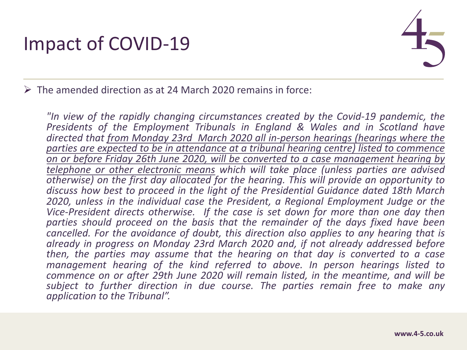

 $\triangleright$  The amended direction as at 24 March 2020 remains in force:

*"In view of the rapidly changing circumstances created by the Covid-19 pandemic, the Presidents of the Employment Tribunals in England & Wales and in Scotland have directed that from Monday 23rd March 2020 all in-person hearings (hearings where the parties are expected to be in attendance at a tribunal hearing centre) listed to commence on or before Friday 26th June 2020, will be converted to a case management hearing by telephone or other electronic means which will take place (unless parties are advised otherwise) on the first day allocated for the hearing. This will provide an opportunity to discuss how best to proceed in the light of the Presidential Guidance dated 18th March 2020, unless in the individual case the President, a Regional Employment Judge or the Vice-President directs otherwise. If the case is set down for more than one day then parties should proceed on the basis that the remainder of the days fixed have been cancelled. For the avoidance of doubt, this direction also applies to any hearing that is already in progress on Monday 23rd March 2020 and, if not already addressed before then, the parties may assume that the hearing on that day is converted to a case management hearing of the kind referred to above. In person hearings listed to commence on or after 29th June 2020 will remain listed, in the meantime, and will be subject to further direction in due course. The parties remain free to make any application to the Tribunal".*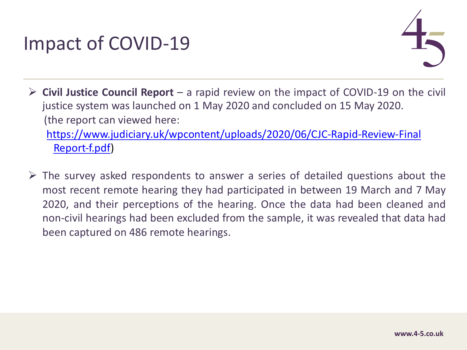**► Civil Justice Council Report** – a rapid review on the impact of COVID-19 on justice system was launched on 1 May 2020 and concluded on 15 May 2020 (the report can viewed here: https://www.judiciary.uk/wpcontent/uploads/2020/06/CJC-Rapid-Review-

Report-f.pdf)

 $\triangleright$  The survey asked respondents to answer a series of detailed questions most recent remote hearing they had participated in between 19 March and 7 March 2020, and their perceptions of the hearing. Once the data had been clean non-civil hearings had been excluded from the sample, it was revealed that been captured on 486 remote hearings.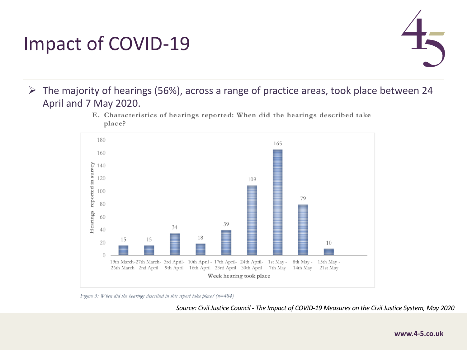

 $\triangleright$  The majority of hearings (56%), across a range of practice areas, took place between 24 April and 7 May 2020.



E. Characteristics of hearings reported: When did the hearings described take place?

Figure 3: When did the hearings described in this report take place?  $(n=484)$ 

*Source: Civil Justice Council - The Impact of COVID-19 Measures on the Civil Justice System, May 2020*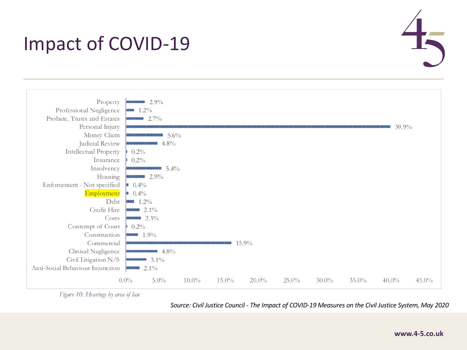



Figure 10: Hearings by area of law

*Source: Civil Justice Council - The Impact of COVID-19 Measures on the Civil Justice System, May 2020*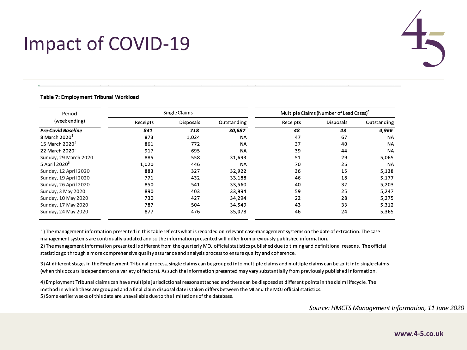

#### Table 7: Employment Tribunal Workload

| Single Claims |                  |             | Multiple Claims (Number of Lead Cases) <sup>4</sup> |                  |             |
|---------------|------------------|-------------|-----------------------------------------------------|------------------|-------------|
| Receipts      | <b>Disposals</b> | Outstanding | Receipts                                            | <b>Disposals</b> | Outstanding |
| 841           | 718              | 30,687      | 48                                                  | 43               | 4,966       |
| 873           | 1,024            | <b>NA</b>   | 47                                                  | 67               | <b>NA</b>   |
| 861           | 772              | <b>NA</b>   | 37                                                  | 40               | <b>NA</b>   |
| 917           | 695              | <b>NA</b>   | 39                                                  | 44               | <b>NA</b>   |
| 885           | 558              | 31,693      | 51                                                  | 29               | 5,065       |
| 1,020         | 446              | <b>NA</b>   | 70                                                  | 26               | <b>NA</b>   |
| 883           | 327              | 32,922      | 36                                                  | 15               | 5,138       |
| 771           | 432              | 33,188      | 46                                                  | 18               | 5,177       |
| 850           | 541              | 33,560      | 40                                                  | 32               | 5,203       |
| 890           | 403              | 33,994      | 59                                                  | 25               | 5,247       |
| 730           | 427              | 34,294      | 22                                                  | 28               | 5,275       |
| 787           | 504              | 34,549      | 43                                                  | 33               | 5,312       |
| 877           | 476              | 35,078      | 46                                                  | 24               | 5,365       |
|               |                  |             |                                                     |                  |             |

1) The management information presented in this table reflects what is recorded on relevant case-management systems on the date of extraction. The case management systems are continually updated and so the information presented will differ from previously published information.

2) The management information presented is different from the quarterly MOJ official statistics published due to timing and definitional reasons. The official statistics go through a more comprehensive quality assurance and analysis process to ensure quality and coherence.

3) At different stages in the Employment Tribunal process, single claims can be grouped into multiple claims and multiple claims can be split into single claims (when this occurs is dependent on a variety of factors). As such the information presented may vary substantially from previously published information.

4) Employment Tribunal claims can have multiple jurisdictional reasons attached and these can be disposed at different points in the claim lifecycle. The method in which these are grouped and a final claim disposal date is taken differs between the MI and the MOJ official statistics. 5) Some earlier weeks of this data are unavailable due to the limitations of the database.

*Source: HMCTS Management Information, 11 June 2020*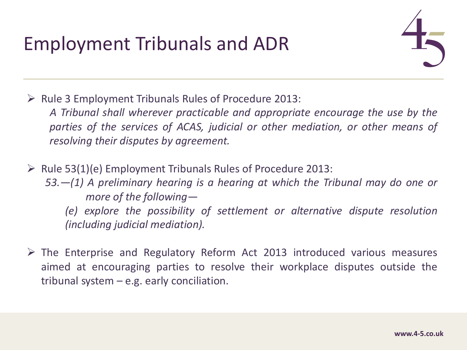## Employment Tribunals and ADR



 $\triangleright$  Rule 3 Employment Tribunals Rules of Procedure 2013: *A Tribunal shall wherever practicable and appropriate encourage the use by the parties of the services of ACAS, judicial or other mediation, or other means of resolving their disputes by agreement.*

- $\triangleright$  Rule 53(1)(e) Employment Tribunals Rules of Procedure 2013: *53.—(1) A preliminary hearing is a hearing at which the Tribunal may do one or more of the following— (e) explore the possibility of settlement or alternative dispute resolution (including judicial mediation).*
- $\triangleright$  The Enterprise and Regulatory Reform Act 2013 introduced various measures aimed at encouraging parties to resolve their workplace disputes outside the tribunal system – e.g. early conciliation.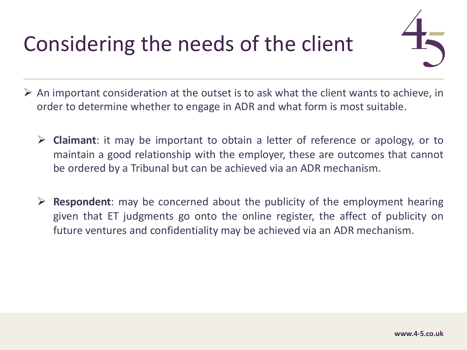# Considering the needs of the client



- $\triangleright$  An important consideration at the outset is to ask what the client wants to achieve, in order to determine whether to engage in ADR and what form is most suitable.
	- Ø **Claimant**: it may be important to obtain a letter of reference or apology, or to maintain a good relationship with the employer, these are outcomes that cannot be ordered by a Tribunal but can be achieved via an ADR mechanism.
	- Ø **Respondent**: may be concerned about the publicity of the employment hearing given that ET judgments go onto the online register, the affect of publicity on future ventures and confidentiality may be achieved via an ADR mechanism.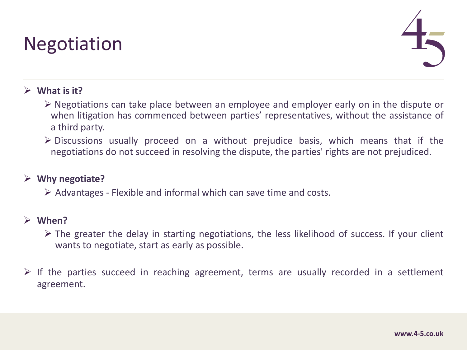### **Negotiation**



#### $\triangleright$  What is it?

- $\triangleright$  Negotiations can take place between an employee and employer early on in the dispute or when litigation has commenced between parties' representatives, without the assistance of a third party.
- $\triangleright$  Discussions usually proceed on a without prejudice basis, which means that if the negotiations do not succeed in resolving the dispute, the parties' rights are not prejudiced.

#### Ø **Why negotiate?**

 $\triangleright$  Advantages - Flexible and informal which can save time and costs.

#### Ø **When?**

- $\triangleright$  The greater the delay in starting negotiations, the less likelihood of success. If your client wants to negotiate, start as early as possible.
- $\triangleright$  If the parties succeed in reaching agreement, terms are usually recorded in a settlement agreement.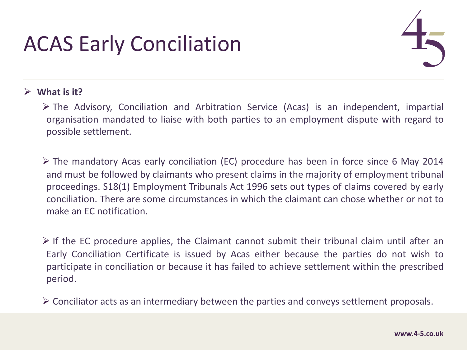## ACAS Early Conciliation



#### $\triangleright$  What is it?

- $\triangleright$  The Advisory, Conciliation and Arbitration Service (Acas) is an independent, impartial organisation mandated to liaise with both parties to an employment dispute with regard to possible settlement.
- $\triangleright$  The mandatory Acas early conciliation (EC) procedure has been in force since 6 May 2014 and must be followed by claimants who present claims in the majority of employment tribunal proceedings. S18(1) Employment Tribunals Act 1996 sets out types of claims covered by early conciliation. There are some circumstances in which the claimant can chose whether or not to make an EC notification.
- $\triangleright$  If the EC procedure applies, the Claimant cannot submit their tribunal claim until after an Early Conciliation Certificate is issued by Acas either because the parties do not wish to participate in conciliation or because it has failed to achieve settlement within the prescribed period.
- $\triangleright$  Conciliator acts as an intermediary between the parties and conveys settlement proposals.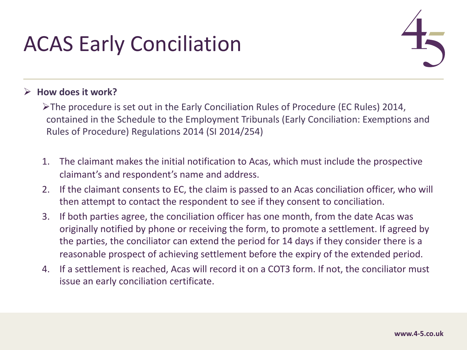# ACAS Early Conciliation



### Ø **How does it work?**

- ØThe procedure is set out in the Early Conciliation Rules of Procedure (EC Rules) 2014, contained in the Schedule to the Employment Tribunals (Early Conciliation: Exemptions and Rules of Procedure) Regulations 2014 (SI 2014/254)
- 1. The claimant makes the initial notification to Acas, which must include the prospective claimant's and respondent's name and address.
- 2. If the claimant consents to EC, the claim is passed to an Acas conciliation officer, who will then attempt to contact the respondent to see if they consent to conciliation.
- 3. If both parties agree, the conciliation officer has one month, from the date Acas was originally notified by phone or receiving the form, to promote a settlement. If agreed by the parties, the conciliator can extend the period for 14 days if they consider there is a reasonable prospect of achieving settlement before the expiry of the extended period.
- 4. If a settlement is reached, Acas will record it on a COT3 form. If not, the conciliator must issue an early conciliation certificate.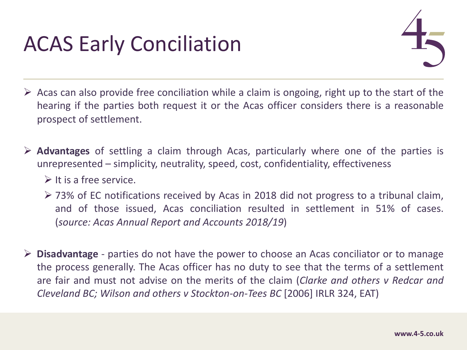## ACAS Early Conciliation



- $\triangleright$  Acas can also provide free conciliation while a claim is ongoing, right up to the start of the hearing if the parties both request it or the Acas officer considers there is a reasonable prospect of settlement.
- Ø **Advantages** of settling a claim through Acas, particularly where one of the parties is unrepresented – simplicity, neutrality, speed, cost, confidentiality, effectiveness
	- $\triangleright$  It is a free service.
	- $\geq$  73% of EC notifications received by Acas in 2018 did not progress to a tribunal claim, and of those issued, Acas conciliation resulted in settlement in 51% of cases. (*source: Acas Annual Report and Accounts 2018/19*)
- Ø **Disadvantage** parties do not have the power to choose an Acas conciliator or to manage the process generally. The Acas officer has no duty to see that the terms of a settlement are fair and must not advise on the merits of the claim (*Clarke and others v Redcar and Cleveland BC; Wilson and others v Stockton-on-Tees BC* [2006] IRLR 324, EAT)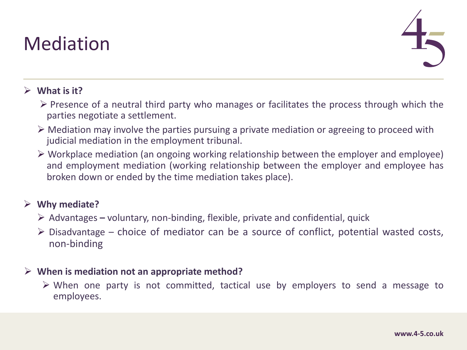### Mediation



### $\triangleright$  What is it?

- $\triangleright$  Presence of a neutral third party who manages or facilitates the process through which the parties negotiate a settlement.
- $\triangleright$  Mediation may involve the parties pursuing a private mediation or agreeing to proceed with judicial mediation in the employment tribunal.
- $\triangleright$  Workplace mediation (an ongoing working relationship between the employer and employee) and employment mediation (working relationship between the employer and employee has broken down or ended by the time mediation takes place).

#### Ø **Why mediate?**

- Ø Advantages **–** voluntary, non-binding, flexible, private and confidential, quick
- $\triangleright$  Disadvantage choice of mediator can be a source of conflict, potential wasted costs, non-binding

#### Ø **When is mediation not an appropriate method?**

 $\triangleright$  When one party is not committed, tactical use by employers to send a message to employees.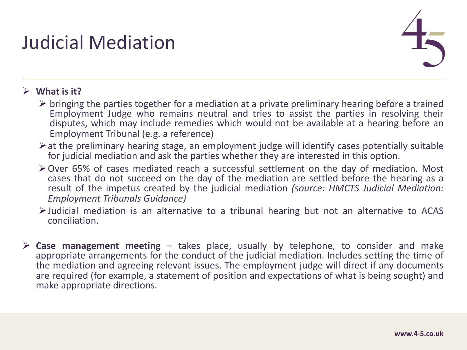## Judicial Mediation



### $\triangleright$  What is it?

- $\triangleright$  bringing the parties together for a mediation at a private preliminary hearing before a trained Employment Judge who remains neutral and tries to assist the parties in resolving their disputes, which may include remedies which would not be available at a hearing before an Employment Tribunal (e.g. a reference)
- $\triangleright$  at the preliminary hearing stage, an employment judge will identify cases potentially suitable for judicial mediation and ask the parties whether they are interested in this option.
- $\geq$  Over 65% of cases mediated reach a successful settlement on the day of mediation. Most cases that do not succeed on the day of the mediation are settled before the hearing as a result of the impetus created by the judicial mediation *(source: HMCTS Judicial Mediation: Employment Tribunals Guidance)*
- $\triangleright$  Judicial mediation is an alternative to a tribunal hearing but not an alternative to ACAS conciliation.
- Ø **Case management meeting** takes place, usually by telephone, to consider and make appropriate arrangements for the conduct of the judicial mediation. Includes setting the time of the mediation and agreeing relevant issues. The employment judge will direct if any documents are required (for example, a statement of position and expectations of what is being sought) and make appropriate directions.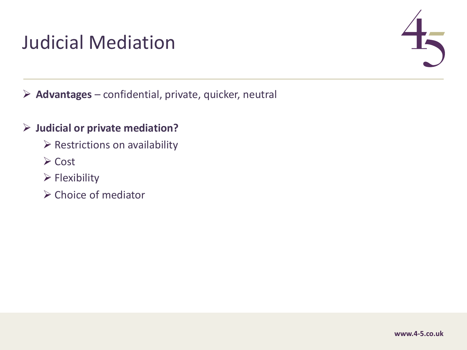### Judicial Mediation



Ø **Advantages** – confidential, private, quicker, neutral

### Ø **Judicial or private mediation?**

- $\triangleright$  Restrictions on availability
- $\triangleright$  Cost
- $\triangleright$  Flexibility
- $\triangleright$  Choice of mediator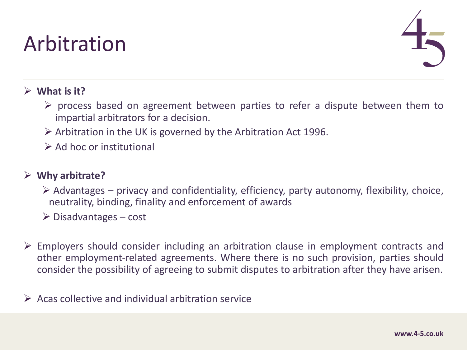## Arbitration



### Ø **What is it?**

- $\triangleright$  process based on agreement between parties to refer a dispute between them to impartial arbitrators for a decision.
- $\triangleright$  Arbitration in the UK is governed by the Arbitration Act 1996.
- $\triangleright$  Ad hoc or institutional

### Ø **Why arbitrate?**

- $\triangleright$  Advantages privacy and confidentiality, efficiency, party autonomy, flexibility, choice, neutrality, binding, finality and enforcement of awards
- $\triangleright$  Disadvantages cost
- $\triangleright$  Employers should consider including an arbitration clause in employment contracts and other employment-related agreements. Where there is no such provision, parties should consider the possibility of agreeing to submit disputes to arbitration after they have arisen.
- $\triangleright$  Acas collective and individual arbitration service